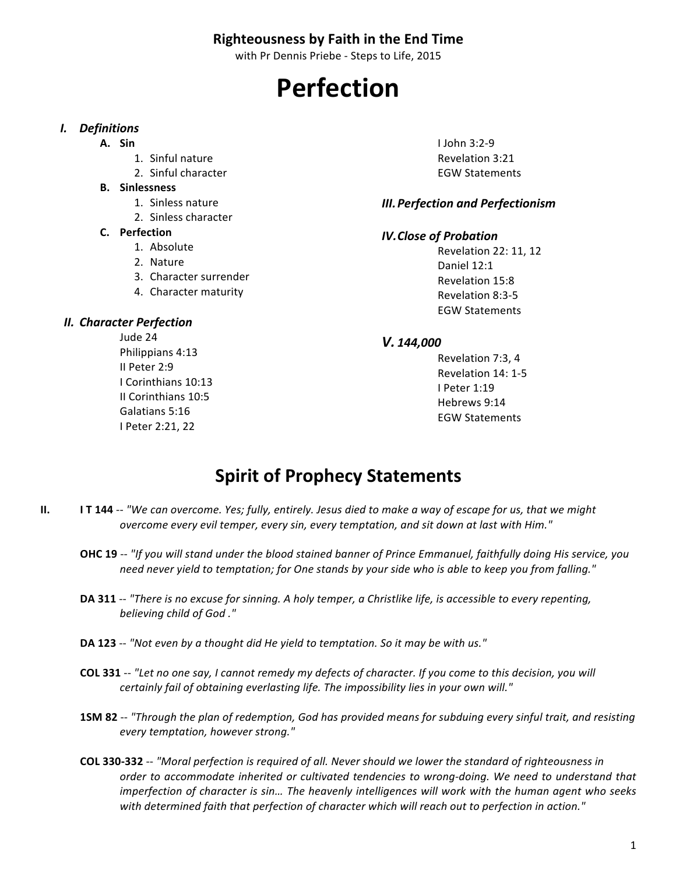#### **Righteousness by Faith in the End Time**

with Pr Dennis Priebe - Steps to Life, 2015

# **Perfection**

#### *I. Definitions*

- **A. Sin**
	- 1. Sinful nature
	- 2. Sinful character
- **B. Sinlessness**
	- 1. Sinless nature
	- 2. Sinless character

#### **C. Perfection**

- 1. Absolute
- 2. Nature
- 3. Character surrender
- 4. Character maturity

#### *II. Character Perfection*

Jude 24 Philippians 4:13 II Peter 2:9 I Corinthians 10:13 II Corinthians 10:5 Galatians 5:16 I Peter 2:21, 22

I John 3:2-9 Revelation 3:21 EGW Statements

#### *III.Perfection and Perfectionism*

#### *IV.Close of Probation*

Revelation 22: 11, 12 Daniel 12:1 Revelation 15:8 Revelation 8:3-5 EGW Statements

#### *V. 144,000*

Revelation 7:3, 4 Revelation 14: 1-5 I Peter 1:19 Hebrews 9:14 EGW Statements

## **Spirit of Prophecy Statements**

- **II. IT 144** -- "We can overcome. Yes; fully, entirely. Jesus died to make a way of escape for us, that we might *overcome every evil temper, every sin, every temptation, and sit down at last with Him."* 
	- **OHC 19** -- "If you will stand under the blood stained banner of Prince Emmanuel, faithfully doing His service, you need never yield to temptation; for One stands by your side who is able to keep you from falling."
	- **DA 311** -- "There is no excuse for sinning. A holy temper, a Christlike life, is accessible to every repenting, *believing child of God ."*
	- **DA 123** -- "Not even by a thought did He yield to temptation. So it may be with us."
	- **COL 331** -- "Let no one say, I cannot remedy my defects of character. If you come to this decision, you will *certainly fail of obtaining everlasting life. The impossibility lies in your own will."*
	- **1SM 82** -- "Through the plan of redemption, God has provided means for subduing every sinful trait, and resisting *every temptation, however strong."*
	- COL 330-332 -- "Moral perfection is required of all. Never should we lower the standard of righteousness in order to accommodate inherited or cultivated tendencies to wrong-doing. We need to understand that *imperfection* of character is sin... The heavenly intelligences will work with the human agent who seeks with determined faith that perfection of character which will reach out to perfection in action."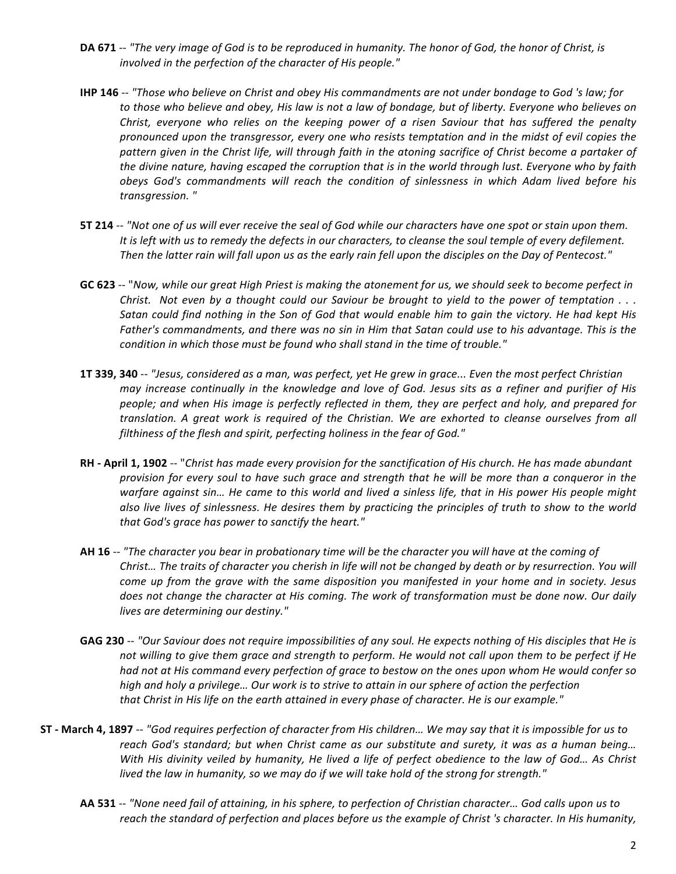- DA 671 -- "The very image of God is to be reproduced in humanity. The honor of God, the honor of Christ, is involved in the perfection of the character of His people."
- **IHP 146** -- "Those who believe on Christ and obey His commandments are not under bondage to God 's law; for to those who believe and obey, His law is not a law of bondage, but of liberty. Everyone who believes on *Christ, everyone who relies on the keeping power of a risen Saviour that has suffered the penalty* pronounced upon the transgressor, every one who resists temptation and in the midst of evil copies the pattern given in the Christ life, will through faith in the atoning sacrifice of Christ become a partaker of *the divine nature, having escaped the corruption that is in the world through lust. Everyone who by faith* obeys God's commandments will reach the condition of sinlessness in which Adam lived before his *transgression. "*
- **5T 214** -- "Not one of us will ever receive the seal of God while our characters have one spot or stain upon them. It is left with us to remedy the defects in our characters, to cleanse the soul temple of every defilement. Then the latter rain will fall upon us as the early rain fell upon the disciples on the Day of Pentecost."
- GC 623 -- "Now, while our great High Priest is making the atonement for us, we should seek to become perfect in *Christ.* Not even by a thought could our Saviour be brought to yield to the power of temptation . . . Satan could find nothing in the Son of God that would enable him to gain the victory. He had kept His Father's commandments, and there was no sin in Him that Satan could use to his advantage. This is the *condition in which those must be found who shall stand in the time of trouble."*
- **1T 339, 340** -- "Jesus, considered as a man, was perfect, yet He grew in grace... Even the most perfect Christian *may increase continually in the knowledge and love of God. Jesus sits as a refiner and purifier of His people; and when His image is perfectly reflected in them, they are perfect and holy, and prepared for translation. A great work is required of the Christian. We are exhorted to cleanse ourselves from all*  filthiness of the flesh and spirit, perfecting holiness in the fear of God."
- **RH April 1, 1902** -- "Christ has made every provision for the sanctification of His church. He has made abundant *provision for every soul to have such grace and strength that he will be more than a conqueror in the* warfare against sin... He came to this world and lived a sinless life, that in His power His people might also live lives of sinlessness. He desires them by practicing the principles of truth to show to the world that God's grace has power to sanctify the heart."
- AH 16 -- "The character you bear in probationary time will be the character you will have at the coming of *Christ...* The traits of character you cherish in life will not be changed by death or by resurrection. You will *come up from the grave with the same disposition you manifested in your home and in society. Jesus does not change the character at His coming. The work of transformation must be done now. Our daily lives are determining our destiny."*
- GAG 230 -- "Our Saviour does not require impossibilities of any soul. He expects nothing of His disciples that He is *not* willing to give them grace and strength to perform. He would not call upon them to be perfect if He *had not at His command every perfection of grace to bestow on the ones upon whom He would confer so* high and holy a privilege... Our work is to strive to attain in our sphere of action the perfection that Christ in His life on the earth attained in every phase of character. He is our example."
- **ST** March 4, 1897 -- "God requires perfection of character from His children... We may say that it is impossible for us to reach God's standard; but when Christ came as our substitute and surety, it was as a human being... *With His divinity veiled by humanity, He lived a life of perfect obedience to the law of God... As Christ* lived the law in humanity, so we may do if we will take hold of the strong for strength."
	- AA 531 -- "None need fail of attaining, in his sphere, to perfection of Christian character... God calls upon us to reach the standard of perfection and places before us the example of Christ 's character. In His humanity,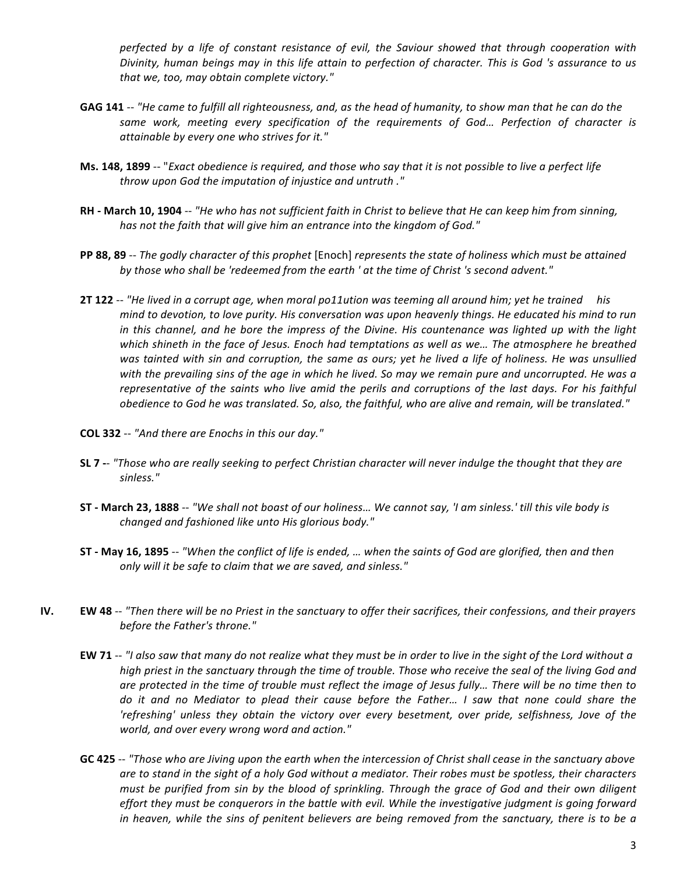perfected by a life of constant resistance of evil, the Saviour showed that through cooperation with *Divinity, human beings may in this life attain to perfection of character. This is God 's assurance to us* that we, too, may obtain complete victory."

- GAG 141 -- "He came to fulfill all righteousness, and, as the head of humanity, to show man that he can do the same work, meeting every specification of the requirements of God... Perfection of character is *attainable by every one who strives for it."*
- **Ms. 148, 1899** -- "*Exact obedience is required, and those who say that it is not possible to live a perfect life* throw upon God the imputation of injustice and untruth ."
- **RH** March 10, 1904 -- "He who has not sufficient faith in Christ to believe that He can keep him from sinning, has not the faith that will give him an entrance into the kingdom of God."
- **PP 88, 89** -- The godly character of this prophet [Enoch] represents the state of holiness which must be attained by those who shall be 'redeemed from the earth ' at the time of Christ 's second advent."
- **2T 122** -- "He lived in a corrupt age, when moral po11ution was teeming all around him; yet he trained his *mind* to devotion, to love purity. His conversation was upon heavenly things. He educated his mind to run *in* this channel, and he bore the impress of the Divine. His countenance was lighted up with the light *which* shineth in the face of Jesus. Enoch had temptations as well as we... The atmosphere he breathed was tainted with sin and corruption, the same as ours; yet he lived a life of holiness. He was unsullied with the prevailing sins of the age in which he lived. So may we remain pure and uncorrupted. He was a *representative* of the saints who live amid the perils and corruptions of the last days. For his faithful *obedience to God he was translated.* So, also, the faithful, who are alive and remain, will be translated."
- **COL 332** -- *"And there are Enochs in this our day."*
- SL 7 -- "Those who are really seeking to perfect Christian character will never indulge the thought that they are *sinless."*
- **ST** March 23, 1888 -- "We shall not boast of our holiness... We cannot say, 'I am sinless.' till this vile body is *changed and fashioned like unto His glorious body."*
- **ST** May 16, 1895 -- "When the conflict of life is ended, ... when the saints of God are glorified, then and then only will it be safe to claim that we are saved, and sinless."
- **IV. EW 48** -- *"Then there will be no Priest in the sanctuary to offer their sacrifices, their confessions, and their prayers before the Father's throne."* 
	- **EW 71** -- "I also saw that many do not realize what they must be in order to live in the sight of the Lord without a *high* priest in the sanctuary through the time of trouble. Those who receive the seal of the living God and are protected in the time of trouble must reflect the image of Jesus fully... There will be no time then to do it and no Mediator to plead their cause before the Father... I saw that none could share the 'refreshing' unless they obtain the victory over every besetment, over pride, selfishness, Jove of the world, and over every wrong word and action."
	- GC 425 -- "Those who are Jiving upon the earth when the intercession of Christ shall cease in the sanctuary above are to stand in the sight of a holy God without a mediator. Their robes must be spotless, their characters *must be purified from sin by the blood of sprinkling. Through the grace of God and their own diligent effort they must be conquerors in the battle with evil. While the investigative judgment is going forward in* heaven, while the sins of penitent believers are being removed from the sanctuary, there is to be a